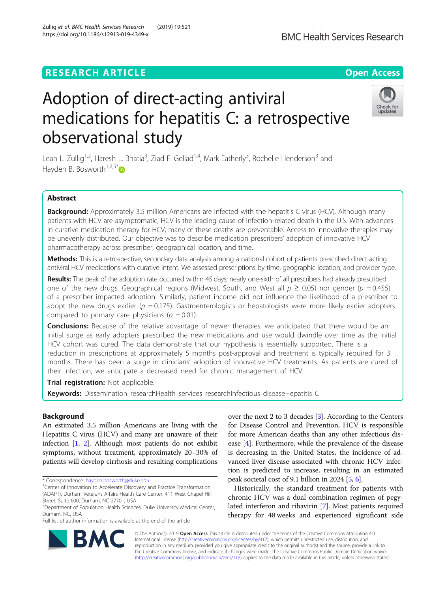## **RESEARCH ARTICLE Example 2018 12:30 THE Open Access**

# Adoption of direct-acting antiviral medications for hepatitis C: a retrospective observational study

Leah L. Zullig<sup>1,2</sup>, Haresh L. Bhatia<sup>3</sup>, Ziad F. Gellad<sup>1,4</sup>, Mark Eatherly<sup>3</sup>, Rochelle Henderson<sup>3</sup> and Hayden B. Bosworth<sup>1,2,5[\\*](http://orcid.org/0000-0001-6188-9825)</sup> $\bullet$ 

## Abstract

Background: Approximately 3.5 million Americans are infected with the hepatitis C virus (HCV). Although many patients with HCV are asymptomatic, HCV is the leading cause of infection-related death in the U.S. With advances in curative medication therapy for HCV, many of these deaths are preventable. Access to innovative therapies may be unevenly distributed. Our objective was to describe medication prescribers' adoption of innovative HCV pharmacotherapy across prescriber, geographical location, and time.

Methods: This is a retrospective, secondary data analysis among a national cohort of patients prescribed direct-acting antiviral HCV medications with curative intent. We assessed prescriptions by time, geographic location, and provider type.

Results: The peak of the adoption rate occurred within 45 days; nearly one-sixth of all prescribers had already prescribed one of the new drugs. Geographical regions (Midwest, South, and West all  $p \ge 0.05$ ) nor gender ( $p = 0.455$ ) of a prescriber impacted adoption. Similarly, patient income did not influence the likelihood of a prescriber to adopt the new drugs earlier ( $p = 0.175$ ). Gastroenterologists or hepatologists were more likely earlier adopters compared to primary care physicians ( $p = 0.01$ ).

**Conclusions:** Because of the relative advantage of newer therapies, we anticipated that there would be an initial surge as early adopters prescribed the new medications and use would dwindle over time as the initial HCV cohort was cured. The data demonstrate that our hypothesis is essentially supported. There is a reduction in prescriptions at approximately 5 months post-approval and treatment is typically required for 3 months. There has been a surge in clinicians' adoption of innovative HCV treatments. As patients are cured of their infection, we anticipate a decreased need for chronic management of HCV.

Trial registration: Not applicable.

Keywords: Dissemination researchHealth services researchInfectious diseaseHepatitis C

Background

An estimated 3.5 million Americans are living with the Hepatitis C virus (HCV) and many are unaware of their infection [[1,](#page-5-0) [2](#page-5-0)]. Although most patients do not exhibit symptoms, without treatment, approximately 20–30% of patients will develop cirrhosis and resulting complications

\* Correspondence: [hayden.bosworth@duke.edu](mailto:hayden.bosworth@duke.edu) <sup>1</sup>

Full list of author information is available at the end of the article

over the next 2 to 3 decades [\[3\]](#page-5-0). According to the Centers for Disease Control and Prevention, HCV is responsible for more American deaths than any other infectious disease [[4\]](#page-5-0). Furthermore, while the prevalence of the disease is decreasing in the United States, the incidence of advanced liver disease associated with chronic HCV infection is predicted to increase, resulting in an estimated peak societal cost of 9.1 billion in 2024 [\[5,](#page-5-0) [6\]](#page-6-0).

Historically, the standard treatment for patients with chronic HCV was a dual combination regimen of pegylated interferon and ribavirin [[7\]](#page-6-0). Most patients required therapy for 48 weeks and experienced significant side

© The Author(s). 2019 **Open Access** This article is distributed under the terms of the Creative Commons Attribution 4.0 International License [\(http://creativecommons.org/licenses/by/4.0/](http://creativecommons.org/licenses/by/4.0/)), which permits unrestricted use, distribution, and reproduction in any medium, provided you give appropriate credit to the original author(s) and the source, provide a link to the Creative Commons license, and indicate if changes were made. The Creative Commons Public Domain Dedication waiver [\(http://creativecommons.org/publicdomain/zero/1.0/](http://creativecommons.org/publicdomain/zero/1.0/)) applies to the data made available in this article, unless otherwise stated.





<sup>&</sup>lt;sup>1</sup> Center of Innovation to Accelerate Discovery and Practice Transformation (ADAPT), Durham Veterans Affairs Health Care Center, 411 West Chapel Hill Street, Suite 600, Durham, NC 27701, USA

<sup>&</sup>lt;sup>2</sup>Department of Population Health Sciences, Duke University Medical Center, Durham, NC, USA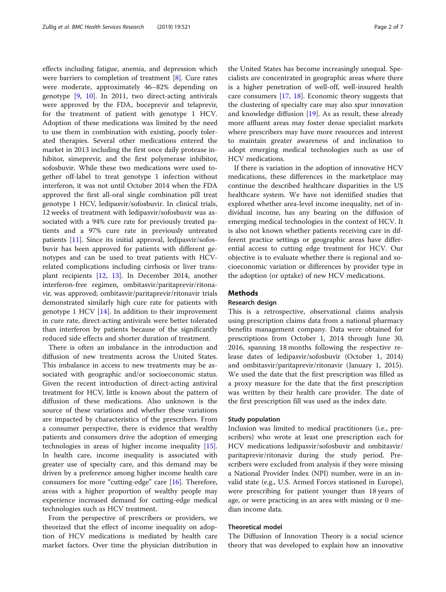effects including fatigue, anemia, and depression which were barriers to completion of treatment [[8\]](#page-6-0). Cure rates were moderate, approximately 46–82% depending on genotype  $[9, 10]$  $[9, 10]$  $[9, 10]$  $[9, 10]$ . In 2011, two direct-acting antivirals were approved by the FDA, boceprevir and telaprevir, for the treatment of patient with genotype 1 HCV. Adoption of these medications was limited by the need to use them in combination with existing, poorly tolerated therapies. Several other medications entered the market in 2013 including the first once daily protease inhibitor, simeprevir, and the first polymerase inhibitor, sofosbuvir. While these two medications were used together off-label to treat genotype 1 infection without interferon, it was not until October 2014 when the FDA approved the first all-oral single combination pill treat genotype 1 HCV, ledipasvir/sofosbuvir. In clinical trials, 12 weeks of treatment with ledipasvir/sofosbuvir was associated with a 94% cure rate for previously treated patients and a 97% cure rate in previously untreated patients [\[11](#page-6-0)]. Since its initial approval, ledipasvir/sofosbuvir has been approved for patients with different genotypes and can be used to treat patients with HCVrelated complications including cirrhosis or liver transplant recipients [[12](#page-6-0), [13](#page-6-0)]. In December 2014, another interferon-free regimen, ombitasvir/paritaprevir/ritonavir, was approved; ombitasvir/paritaprevir/ritonavir trials demonstrated similarly high cure rate for patients with genotype 1 HCV [\[14](#page-6-0)]. In addition to their improvement in cure rate, direct-acting antivirals were better tolerated than interferon by patients because of the significantly reduced side effects and shorter duration of treatment.

There is often an imbalance in the introduction and diffusion of new treatments across the United States. This imbalance in access to new treatments may be associated with geographic and/or socioeconomic status. Given the recent introduction of direct-acting antiviral treatment for HCV, little is known about the pattern of diffusion of these medications. Also unknown is the source of these variations and whether these variations are impacted by characteristics of the prescribers. From a consumer perspective, there is evidence that wealthy patients and consumers drive the adoption of emerging technologies in areas of higher income inequality [\[15](#page-6-0)]. In health care, income inequality is associated with greater use of specialty care, and this demand may be driven by a preference among higher income health care consumers for more "cutting-edge" care [\[16](#page-6-0)]. Therefore, areas with a higher proportion of wealthy people may experience increased demand for cutting-edge medical technologies such as HCV treatment.

From the perspective of prescribers or providers, we theorized that the effect of income inequality on adoption of HCV medications is mediated by health care market factors. Over time the physician distribution in

the United States has become increasingly unequal. Specialists are concentrated in geographic areas where there is a higher penetration of well-off, well-insured health care consumers [\[17](#page-6-0), [18\]](#page-6-0). Economic theory suggests that the clustering of specialty care may also spur innovation and knowledge diffusion  $[19]$  $[19]$ . As as result, these already more affluent areas may foster dense specialist markets where prescribers may have more resources and interest to maintain greater awareness of and inclination to adopt emerging medical technologies such as use of HCV medications.

If there is variation in the adoption of innovative HCV medications, these differences in the marketplace may continue the described healthcare disparities in the US healthcare system. We have not identified studies that explored whether area-level income inequality, net of individual income, has any bearing on the diffusion of emerging medical technologies in the context of HCV. It is also not known whether patients receiving care in different practice settings or geographic areas have differential access to cutting edge treatment for HCV. Our objective is to evaluate whether there is regional and socioeconomic variation or differences by provider type in the adoption (or uptake) of new HCV medications.

## Methods

## Research design

This is a retrospective, observational claims analysis using prescription claims data from a national pharmacy benefits management company. Data were obtained for prescriptions from October 1, 2014 through June 30, 2016, spanning 18 months following the respective release dates of ledipasvir/sofosbuvir (October 1, 2014) and ombitasvir/paritaprevir/ritonavir (January 1, 2015). We used the date that the first prescription was filled as a proxy measure for the date that the first prescription was written by their health care provider. The date of the first prescription fill was used as the index date.

#### Study population

Inclusion was limited to medical practitioners (i.e., prescribers) who wrote at least one prescription each for HCV medications ledipasvir/sofosbuvir and ombitasvir/ paritaprevir/ritonavir during the study period. Prescribers were excluded from analysis if they were missing a National Provider Index (NPI) number, were in an invalid state (e.g., U.S. Armed Forces stationed in Europe), were prescribing for patient younger than 18 years of age, or were practicing in an area with missing or 0 median income data.

## Theoretical model

The Diffusion of Innovation Theory is a social science theory that was developed to explain how an innovative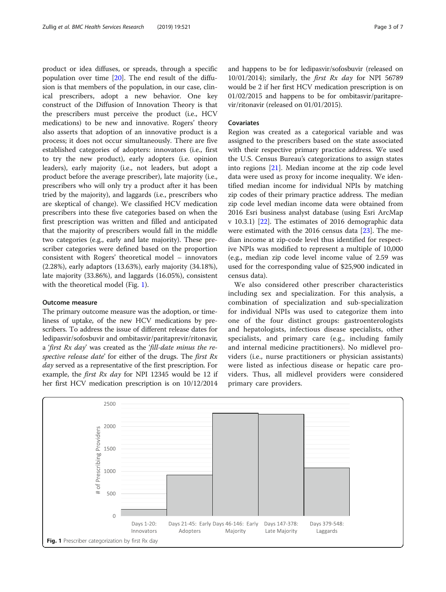<span id="page-2-0"></span>product or idea diffuses, or spreads, through a specific population over time [[20](#page-6-0)]. The end result of the diffusion is that members of the population, in our case, clinical prescribers, adopt a new behavior. One key construct of the Diffusion of Innovation Theory is that the prescribers must perceive the product (i.e., HCV medications) to be new and innovative. Rogers' theory also asserts that adoption of an innovative product is a process; it does not occur simultaneously. There are five established categories of adopters: innovators (i.e., first to try the new product), early adopters (i.e. opinion leaders), early majority (i.e., not leaders, but adopt a product before the average prescriber), late majority (i.e., prescribers who will only try a product after it has been tried by the majority), and laggards (i.e., prescribers who are skeptical of change). We classified HCV medication prescribers into these five categories based on when the first prescription was written and filled and anticipated that the majority of prescribers would fall in the middle two categories (e.g., early and late majority). These prescriber categories were defined based on the proportion consistent with Rogers' theoretical model – innovators (2.28%), early adaptors (13.63%), early majority (34.18%), late majority (33.86%), and laggards (16.05%), consistent with the theoretical model (Fig. 1).

## Outcome measure

The primary outcome measure was the adoption, or timeliness of uptake, of the new HCV medications by prescribers. To address the issue of different release dates for ledipasvir/sofosbuvir and ombitasvir/paritaprevir/ritonavir, a 'first Rx day' was created as the 'fill-date minus the respective release date' for either of the drugs. The first Rx day served as a representative of the first prescription. For example, the *first Rx day* for NPI 12345 would be 12 if her first HCV medication prescription is on 10/12/2014 and happens to be for ledipasvir/sofosbuvir (released on 10/01/2014); similarly, the *first Rx day* for NPI 56789 would be 2 if her first HCV medication prescription is on 01/02/2015 and happens to be for ombitasvir/paritaprevir/ritonavir (released on 01/01/2015).

## Covariates

Region was created as a categorical variable and was assigned to the prescribers based on the state associated with their respective primary practice address. We used the U.S. Census Bureau's categorizations to assign states into regions [\[21](#page-6-0)]. Median income at the zip code level data were used as proxy for income inequality. We identified median income for individual NPIs by matching zip codes of their primary practice address. The median zip code level median income data were obtained from 2016 Esri business analyst database (using Esri ArcMap v 10.3.1) [\[22](#page-6-0)]. The estimates of 2016 demographic data were estimated with the 2016 census data [\[23](#page-6-0)]. The median income at zip-code level thus identified for respective NPIs was modified to represent a multiple of 10,000 (e.g., median zip code level income value of 2.59 was used for the corresponding value of \$25,900 indicated in census data).

We also considered other prescriber characteristics including sex and specialization. For this analysis, a combination of specialization and sub-specialization for individual NPIs was used to categorize them into one of the four distinct groups: gastroenterologists and hepatologists, infectious disease specialists, other specialists, and primary care (e.g., including family and internal medicine practitioners). No midlevel providers (i.e., nurse practitioners or physician assistants) were listed as infectious disease or hepatic care providers. Thus, all midlevel providers were considered primary care providers.

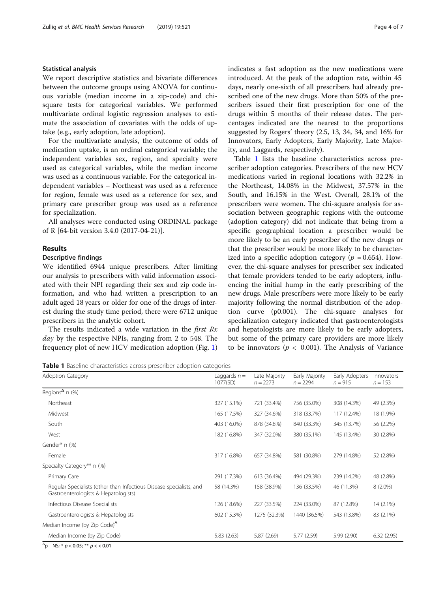#### Statistical analysis

We report descriptive statistics and bivariate differences between the outcome groups using ANOVA for continuous variable (median income in a zip-code) and chisquare tests for categorical variables. We performed multivariate ordinal logistic regression analyses to estimate the association of covariates with the odds of uptake (e.g., early adoption, late adoption).

For the multivariate analysis, the outcome of odds of medication uptake, is an ordinal categorical variable; the independent variables sex, region, and specialty were used as categorical variables, while the median income was used as a continuous variable. For the categorical independent variables – Northeast was used as a reference for region, female was used as a reference for sex, and primary care prescriber group was used as a reference for specialization.

All analyses were conducted using ORDINAL package of R [64-bit version 3.4.0 (2017-04-21)].

## Results

## Descriptive findings

We identified 6944 unique prescribers. After limiting our analysis to prescribers with valid information associated with their NPI regarding their sex and zip code information, and who had written a prescription to an adult aged 18 years or older for one of the drugs of interest during the study time period, there were 6712 unique prescribers in the analytic cohort.

The results indicated a wide variation in the *first*  $Rx$ day by the respective NPIs, ranging from 2 to 548. The frequency plot of new HCV medication adoption (Fig. [1](#page-2-0)) indicates a fast adoption as the new medications were introduced. At the peak of the adoption rate, within 45 days, nearly one-sixth of all prescribers had already prescribed one of the new drugs. More than 50% of the prescribers issued their first prescription for one of the drugs within 5 months of their release dates. The percentages indicated are the nearest to the proportions suggested by Rogers' theory (2.5, 13, 34, 34, and 16% for Innovators, Early Adopters, Early Majority, Late Majority, and Laggards, respectively).

Table 1 lists the baseline characteristics across prescriber adoption categories. Prescribers of the new HCV medications varied in regional locations with 32.2% in the Northeast, 14.08% in the Midwest, 37.57% in the South, and 16.15% in the West. Overall, 28.1% of the prescribers were women. The chi-square analysis for association between geographic regions with the outcome (adoption category) did not indicate that being from a specific geographical location a prescriber would be more likely to be an early prescriber of the new drugs or that the prescriber would be more likely to be characterized into a specific adoption category ( $p = 0.654$ ). However, the chi-square analyses for prescriber sex indicated that female providers tended to be early adopters, influencing the initial hump in the early prescribing of the new drugs. Male prescribers were more likely to be early majority following the normal distribution of the adoption curve (p0.001). The chi-square analyses for specialization category indicated that gastroenterologists and hepatologists are more likely to be early adopters, but some of the primary care providers are more likely to be innovators ( $p < 0.001$ ). The Analysis of Variance

Table 1 Baseline characteristics across prescriber adoption categories

| <b>Adoption Category</b>                                                                                    | Laggards $n =$<br>1077(SD) | Late Majority<br>$n = 2273$ | Early Majority<br>$n = 2294$ | Early Adopters<br>$n = 915$ | Innovators<br>$n = 153$ |
|-------------------------------------------------------------------------------------------------------------|----------------------------|-----------------------------|------------------------------|-----------------------------|-------------------------|
| Regions <sup><math>\Delta</math></sup> n (%)                                                                |                            |                             |                              |                             |                         |
| Northeast                                                                                                   | 327 (15.1%)                | 721 (33.4%)                 | 756 (35.0%)                  | 308 (14.3%)                 | 49 (2.3%)               |
| Midwest                                                                                                     | 165 (17.5%)                | 327 (34.6%)                 | 318 (33.7%)                  | 117 (12.4%)                 | 18 (1.9%)               |
| South                                                                                                       | 403 (16.0%)                | 878 (34.8%)                 | 840 (33.3%)                  | 345 (13.7%)                 | 56 (2.2%)               |
| West                                                                                                        | 182 (16.8%)                | 347 (32.0%)                 | 380 (35.1%)                  | 145 (13.4%)                 | 30 (2.8%)               |
| Gender* n (%)                                                                                               |                            |                             |                              |                             |                         |
| Female                                                                                                      | 317 (16.8%)                | 657 (34.8%)                 | 581 (30.8%)                  | 279 (14.8%)                 | 52 (2.8%)               |
| Specialty Category** n (%)                                                                                  |                            |                             |                              |                             |                         |
| Primary Care                                                                                                | 291 (17.3%)                | 613 (36.4%)                 | 494 (29.3%)                  | 239 (14.2%)                 | 48 (2.8%)               |
| Regular Specialists (other than Infectious Disease specialists, and<br>Gastroenterologists & Hepatologists) | 58 (14.3%)                 | 158 (38.9%)                 | 136 (33.5%)                  | 46 (11.3%)                  | $8(2.0\%)$              |
| Infectious Disease Specialists                                                                              | 126 (18.6%)                | 227 (33.5%)                 | 224 (33.0%)                  | 87 (12.8%)                  | 14 (2.1%)               |
| Gastroenterologists & Hepatologists                                                                         | 602 (15.3%)                | 1275 (32.3%)                | 1440 (36.5%)                 | 543 (13.8%)                 | 83 (2.1%)               |
| Median Income (by Zip Code) $^{\Delta}$                                                                     |                            |                             |                              |                             |                         |
| Median Income (by Zip Code)                                                                                 | 5.83(2.63)                 | 5.87 (2.69)                 | 5.77 (2.59)                  | 5.99(2.90)                  | 6.32(2.95)              |

 $^{\Delta}$ p - NS; \*  $p$  < 0.05; \*\*  $p$  < < 0.01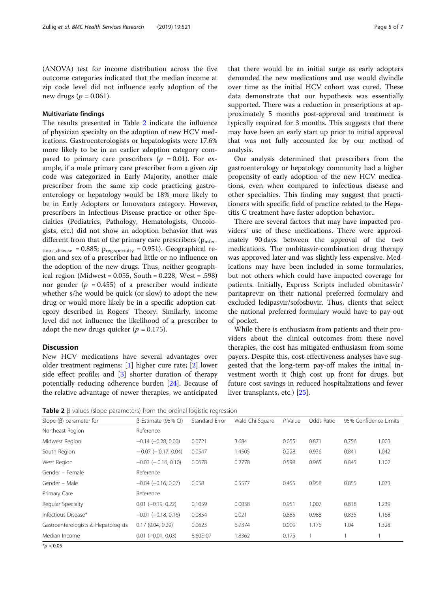(ANOVA) test for income distribution across the five outcome categories indicated that the median income at zip code level did not influence early adoption of the new drugs ( $p = 0.061$ ).

### Multivariate findings

The results presented in Table 2 indicate the influence of physician specialty on the adoption of new HCV medications. Gastroenterologists or hepatologists were 17.6% more likely to be in an earlier adoption category compared to primary care prescribers ( $p = 0.01$ ). For example, if a male primary care prescriber from a given zip code was categorized in Early Majority, another male prescriber from the same zip code practicing gastroenterology or hepatology would be 18% more likely to be in Early Adopters or Innovators category. However, prescribers in Infectious Disease practice or other Specialties (Pediatrics, Pathology, Hematologists, Oncologists, etc.) did not show an adoption behavior that was different from that of the primary care prescribers  $(p_{\text{infer}})$ tious\_disease = 0.885;  $p_{reg, specificity}$  = 0.951). Geographical region and sex of a prescriber had little or no influence on the adoption of the new drugs. Thus, neither geographical region (Midwest =  $0.055$ , South =  $0.228$ , West = .598) nor gender ( $p = 0.455$ ) of a prescriber would indicate whether s/he would be quick (or slow) to adopt the new drug or would more likely be in a specific adoption category described in Rogers' Theory. Similarly, income level did not influence the likelihood of a prescriber to adopt the new drugs quicker ( $p = 0.175$ ).

## **Discussion**

New HCV medications have several advantages over older treatment regimens: [\[1](#page-5-0)] higher cure rate; [[2](#page-5-0)] lower side effect profile; and [[3\]](#page-5-0) shorter duration of therapy potentially reducing adherence burden [\[24](#page-6-0)]. Because of the relative advantage of newer therapies, we anticipated that there would be an initial surge as early adopters demanded the new medications and use would dwindle over time as the initial HCV cohort was cured. These data demonstrate that our hypothesis was essentially supported. There was a reduction in prescriptions at approximately 5 months post-approval and treatment is typically required for 3 months. This suggests that there may have been an early start up prior to initial approval that was not fully accounted for by our method of analysis.

Our analysis determined that prescribers from the gastroenterology or hepatology community had a higher propensity of early adoption of the new HCV medications, even when compared to infectious disease and other specialties. This finding may suggest that practitioners with specific field of practice related to the Hepatitis C treatment have faster adoption behavior..

There are several factors that may have impacted providers' use of these medications. There were approximately 90 days between the approval of the two medications. The ombitasvir-combination drug therapy was approved later and was slightly less expensive. Medications may have been included in some formularies, but not others which could have impacted coverage for patients. Initially, Express Scripts included obmitasvir/ paritaprevir on their national preferred formulary and excluded ledipasvir/sofosbuvir. Thus, clients that select the national preferred formulary would have to pay out of pocket.

While there is enthusiasm from patients and their providers about the clinical outcomes from these novel therapies, the cost has mitigated enthusiasm from some payers. Despite this, cost-effectiveness analyses have suggested that the long-term pay-off makes the initial investment worth it (high cost up front for drugs, but future cost savings in reduced hospitalizations and fewer liver transplants, etc.) [\[25\]](#page-6-0).

Table 2 β-values (slope parameters) from the ordinal logistic regression

| Slope $(\beta)$ parameter for       | B-Estimate (95% CI)       | Standard Error | Wald Chi-Square | $P$ -Value | Odds Ratio | 95% Confidence Limits |       |
|-------------------------------------|---------------------------|----------------|-----------------|------------|------------|-----------------------|-------|
| Northeast Region                    | Reference                 |                |                 |            |            |                       |       |
| Midwest Region                      | $-0.14$ $(-0.28, 0.00)$   | 0.0721         | 3.684           | 0.055      | 0.871      | 0.756                 | 1.003 |
| South Region                        | $-0.07$ ( $-0.17$ , 0.04) | 0.0547         | 1.4505          | 0.228      | 0.936      | 0.841                 | 1.042 |
| West Region                         | $-0.03$ ( $-0.16$ , 0.10) | 0.0678         | 0.2778          | 0.598      | 0.965      | 0.845                 | 1.102 |
| Gender - Female                     | Reference                 |                |                 |            |            |                       |       |
| Gender - Male                       | $-0.04$ $(-0.16, 0.07)$   | 0.058          | 0.5577          | 0.455      | 0.958      | 0.855                 | 1.073 |
| Primary Care                        | Reference                 |                |                 |            |            |                       |       |
| Regular Specialty                   | $0.01$ $(-0.19, 0.22)$    | 0.1059         | 0.0038          | 0.951      | 1.007      | 0.818                 | 1.239 |
| Infectious Disease*                 | $-0.01$ $(-0.18, 0.16)$   | 0.0854         | 0.021           | 0.885      | 0.988      | 0.835                 | 1.168 |
| Gastroenterologists & Hepatologists | 0.17(0.04, 0.29)          | 0.0623         | 6.7374          | 0.009      | 1.176      | 1.04                  | 1.328 |
| Median Income                       | $0.01$ $(-0.01, 0.03)$    | 8.60E-07       | 1.8362          | 0.175      |            |                       |       |

 $*$ *p* < 0.05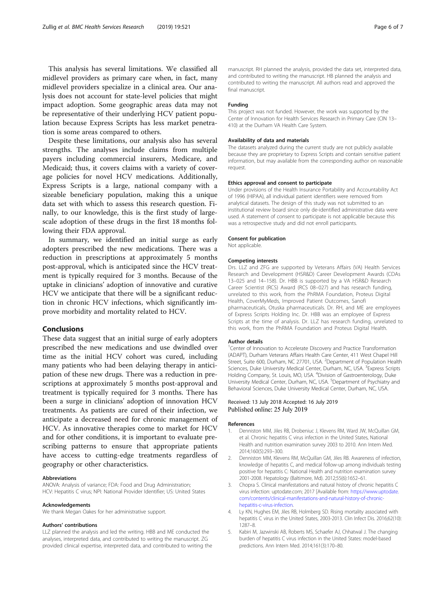<span id="page-5-0"></span>This analysis has several limitations. We classified all midlevel providers as primary care when, in fact, many midlevel providers specialize in a clinical area. Our analysis does not account for state-level policies that might impact adoption. Some geographic areas data may not be representative of their underlying HCV patient population because Express Scripts has less market penetration is some areas compared to others.

Despite these limitations, our analysis also has several strengths. The analyses include claims from multiple payers including commercial insurers, Medicare, and Medicaid; thus, it covers claims with a variety of coverage policies for novel HCV medications. Additionally, Express Scripts is a large, national company with a sizeable beneficiary population, making this a unique data set with which to assess this research question. Finally, to our knowledge, this is the first study of largescale adoption of these drugs in the first 18 months following their FDA approval.

In summary, we identified an initial surge as early adopters prescribed the new medications. There was a reduction in prescriptions at approximately 5 months post-approval, which is anticipated since the HCV treatment is typically required for 3 months. Because of the uptake in clinicians' adoption of innovative and curative HCV we anticipate that there will be a significant reduction in chronic HCV infections, which significantly improve morbidity and mortality related to HCV.

#### Conclusions

These data suggest that an initial surge of early adopters prescribed the new medications and use dwindled over time as the initial HCV cohort was cured, including many patients who had been delaying therapy in anticipation of these new drugs. There was a reduction in prescriptions at approximately 5 months post-approval and treatment is typically required for 3 months. There has been a surge in clinicians' adoption of innovation HCV treatments. As patients are cured of their infection, we anticipate a decreased need for chronic management of HCV. As innovative therapies come to market for HCV and for other conditions, it is important to evaluate prescribing patterns to ensure that appropriate patients have access to cutting-edge treatments regardless of geography or other characteristics.

#### Abbreviations

ANOVA: Analysis of variance; FDA: Food and Drug Administration; HCV: Hepatitis C virus; NPI: National Provider Identifier; US: United States

#### Acknowledgements

We thank Megan Oakes for her administrative support.

#### Authors' contributions

LLZ planned the analysis and led the writing. HBB and ME conducted the analyses, interpreted data, and contributed to writing the manuscript. ZG provided clinical expertise, interpreted data, and contributed to writing the manuscript. RH planned the analysis, provided the data set, interpreted data, and contributed to writing the manuscript. HB planned the analysis and contributed to writing the manuscript. All authors read and approved the final manuscript.

#### Funding

This project was not funded. However, the work was supported by the Center of Innovation for Health Services Research in Primary Care (CIN 13– 410) at the Durham VA Health Care System.

#### Availability of data and materials

The datasets analyzed during the current study are not publicly available because they are proprietary to Express Scripts and contain sensitive patient information, but may available from the corresponding author on reasonable request.

#### Ethics approval and consent to participate

Under provisions of the Health Insurance Portability and Accountability Act of 1996 (HIPAA), all individual patient identifiers were removed from analytical datasets. The design of this study was not submitted to an institutional review board since only de-identified administrative data were used. A statement of consent to participate is not applicable because this was a retrospective study and did not enroll participants.

#### Consent for publication

Not applicable.

#### Competing interests

Drs. LLZ and ZFG are supported by Veterans Affairs (VA) Health Services Research and Development (HSR&D) Career Development Awards (CDAs 13–025 and 14–158). Dr. HBB is supported by a VA HSR&D Research Career Scientist (RCS) Award (RCS 08–027) and has research funding, unrelated to this work, from the PhRMA Foundation, Proteus Digital Health, CoverMyMeds, Improved Patient Outcomes, Sanofi pharmaceuticals, Otuska pharmaceuticals. Dr. RH, and ME are employees of Express Scripts Holding Inc. Dr. HBB was an employee of Express Scripts at the time of analysis. Dr. LLZ has research funding, unrelated to this work, from the PhRMA Foundation and Proteus Digital Health.

#### Author details

<sup>1</sup> Center of Innovation to Accelerate Discovery and Practice Transformation (ADAPT), Durham Veterans Affairs Health Care Center, 411 West Chapel Hill Street, Suite 600, Durham, NC 27701, USA. <sup>2</sup>Department of Population Health Sciences, Duke University Medical Center, Durham, NC, USA. <sup>3</sup> Express Scripts Holding Company, St. Louis, MO, USA. <sup>4</sup>Division of Gastroenterology, Duke University Medical Center, Durham, NC, USA. <sup>5</sup>Department of Psychiatry and Behavioral Sciences, Duke University Medical Center, Durham, NC, USA.

#### Received: 13 July 2018 Accepted: 16 July 2019 Published online: 25 July 2019

#### References

- 1. Denniston MM, Jiles RB, Drobeniuc J, Klevens RM, Ward JW, McQuillan GM, et al. Chronic hepatitis C virus infection in the United States, National Health and nutrition examination survey 2003 to 2010. Ann Intern Med. 2014;160(5):293–300.
- 2. Denniston MM, Klevens RM, McQuillan GM, Jiles RB. Awareness of infection, knowledge of hepatitis C, and medical follow-up among individuals testing positive for hepatitis C: National Health and nutrition examination survey 2001-2008. Hepatology (Baltimore, Md). 2012;55(6):1652–61.
- 3. Chopra S. Clinical manifestations and natural history of chronic hepatitis C virus infection: uptodate.com; 2017 [Available from: [https://www.uptodate.](https://www.uptodate.com/contents/clinical-manifestations-and-natural-history-of-chronic-hepatitis-c-virus-infection) [com/contents/clinical-manifestations-and-natural-history-of-chronic](https://www.uptodate.com/contents/clinical-manifestations-and-natural-history-of-chronic-hepatitis-c-virus-infection)[hepatitis-c-virus-infection](https://www.uptodate.com/contents/clinical-manifestations-and-natural-history-of-chronic-hepatitis-c-virus-infection).
- 4. Ly KN, Hughes EM, Jiles RB, Holmberg SD. Rising mortality associated with hepatitis C virus in the United States, 2003-2013. Clin Infect Dis. 2016;62(10): 1287–8.
- 5. Kabiri M, Jazwinski AB, Roberts MS, Schaefer AJ, Chhatwal J. The changing burden of hepatitis C virus infection in the United States: model-based predictions. Ann Intern Med. 2014;161(3):170–80.